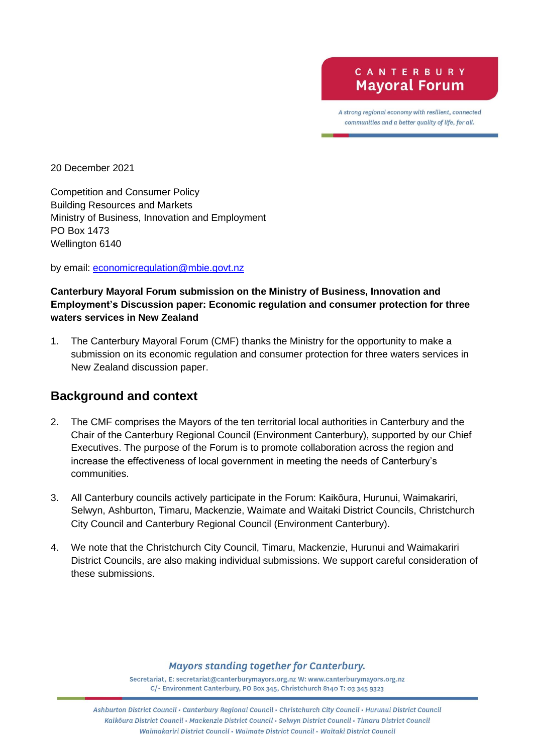A strong regional economy with resilient, connected communities and a better quality of life, for all.

20 December 2021

Competition and Consumer Policy Building Resources and Markets Ministry of Business, Innovation and Employment PO Box 1473 Wellington 6140

by email: [economicregulation@mbie.govt.nz](mailto:economicregulation@mbie.govt.nz)

## **Canterbury Mayoral Forum submission on the Ministry of Business, Innovation and Employment's Discussion paper: Economic regulation and consumer protection for three waters services in New Zealand**

1. The Canterbury Mayoral Forum (CMF) thanks the Ministry for the opportunity to make a submission on its economic regulation and consumer protection for three waters services in New Zealand discussion paper.

## **Background and context**

- 2. The CMF comprises the Mayors of the ten territorial local authorities in Canterbury and the Chair of the Canterbury Regional Council (Environment Canterbury), supported by our Chief Executives. The purpose of the Forum is to promote collaboration across the region and increase the effectiveness of local government in meeting the needs of Canterbury's communities.
- 3. All Canterbury councils actively participate in the Forum: Kaikōura, Hurunui, Waimakariri, Selwyn, Ashburton, Timaru, Mackenzie, Waimate and Waitaki District Councils, Christchurch City Council and Canterbury Regional Council (Environment Canterbury).
- 4. We note that the Christchurch City Council, Timaru, Mackenzie, Hurunui and Waimakariri District Councils, are also making individual submissions. We support careful consideration of these submissions.

## **Mayors standing together for Canterbury.**

Secretariat, E: secretariat@canterburymayors.org.nz W: www.canterburymayors.org.nz C/- Environment Canterbury, PO Box 345, Christchurch 8140 T: 03 345 9323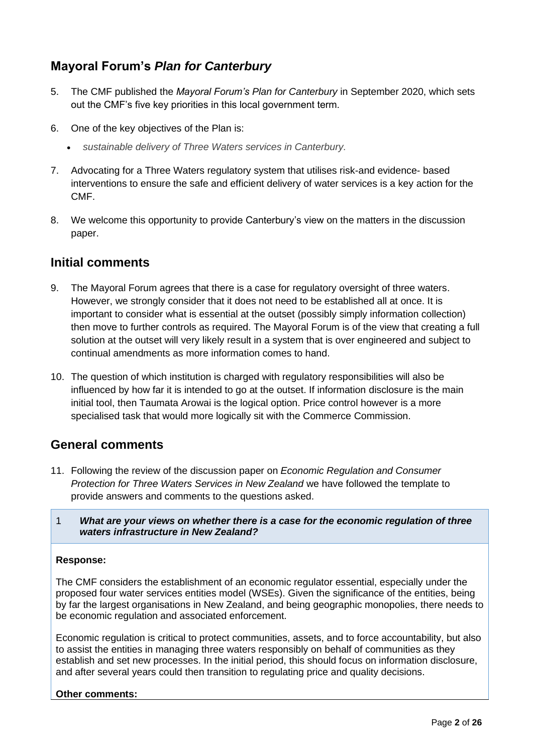# **Mayoral Forum's** *Plan for Canterbury*

- 5. The CMF published the *Mayoral Forum's Plan for Canterbury* in September 2020, which sets out the CMF's five key priorities in this local government term.
- 6. One of the key objectives of the Plan is:
	- *sustainable delivery of Three Waters services in Canterbury.*
- 7. Advocating for a Three Waters regulatory system that utilises risk-and evidence- based interventions to ensure the safe and efficient delivery of water services is a key action for the CMF.
- 8. We welcome this opportunity to provide Canterbury's view on the matters in the discussion paper.

## **Initial comments**

- 9. The Mayoral Forum agrees that there is a case for regulatory oversight of three waters. However, we strongly consider that it does not need to be established all at once. It is important to consider what is essential at the outset (possibly simply information collection) then move to further controls as required. The Mayoral Forum is of the view that creating a full solution at the outset will very likely result in a system that is over engineered and subject to continual amendments as more information comes to hand.
- 10. The question of which institution is charged with regulatory responsibilities will also be influenced by how far it is intended to go at the outset. If information disclosure is the main initial tool, then Taumata Arowai is the logical option. Price control however is a more specialised task that would more logically sit with the Commerce Commission.

## **General comments**

- 11. Following the review of the discussion paper on *Economic Regulation and Consumer Protection for Three Waters Services in New Zealand* we have followed the template to provide answers and comments to the questions asked.
- 1 *What are your views on whether there is a case for the economic regulation of three waters infrastructure in New Zealand?*

## **Response:**

The CMF considers the establishment of an economic regulator essential, especially under the proposed four water services entities model (WSEs). Given the significance of the entities, being by far the largest organisations in New Zealand, and being geographic monopolies, there needs to be economic regulation and associated enforcement.

Economic regulation is critical to protect communities, assets, and to force accountability, but also to assist the entities in managing three waters responsibly on behalf of communities as they establish and set new processes. In the initial period, this should focus on information disclosure, and after several years could then transition to regulating price and quality decisions.

## **Other comments:**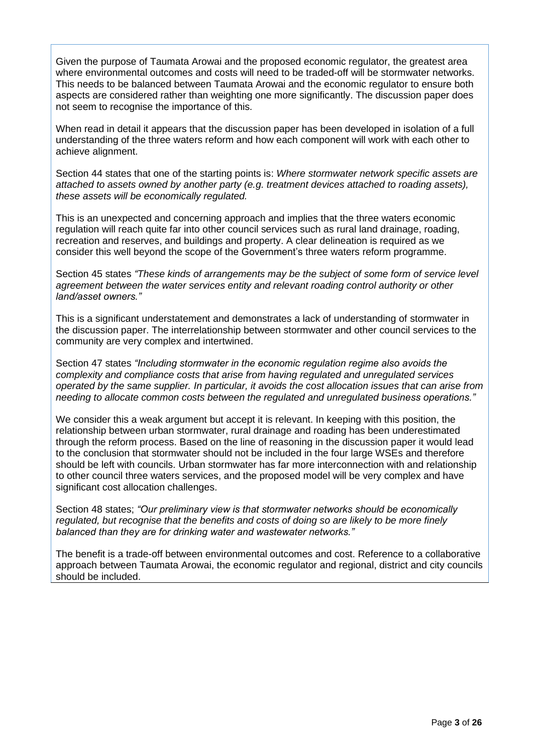Given the purpose of Taumata Arowai and the proposed economic regulator, the greatest area where environmental outcomes and costs will need to be traded-off will be stormwater networks. This needs to be balanced between Taumata Arowai and the economic regulator to ensure both aspects are considered rather than weighting one more significantly. The discussion paper does not seem to recognise the importance of this.

When read in detail it appears that the discussion paper has been developed in isolation of a full understanding of the three waters reform and how each component will work with each other to achieve alignment.

Section 44 states that one of the starting points is: *Where stormwater network specific assets are attached to assets owned by another party (e.g. treatment devices attached to roading assets), these assets will be economically regulated.*

This is an unexpected and concerning approach and implies that the three waters economic regulation will reach quite far into other council services such as rural land drainage, roading, recreation and reserves, and buildings and property. A clear delineation is required as we consider this well beyond the scope of the Government's three waters reform programme.

Section 45 states *"These kinds of arrangements may be the subject of some form of service level agreement between the water services entity and relevant roading control authority or other land/asset owners."*

This is a significant understatement and demonstrates a lack of understanding of stormwater in the discussion paper. The interrelationship between stormwater and other council services to the community are very complex and intertwined.

Section 47 states *"Including stormwater in the economic regulation regime also avoids the complexity and compliance costs that arise from having regulated and unregulated services operated by the same supplier. In particular, it avoids the cost allocation issues that can arise from needing to allocate common costs between the regulated and unregulated business operations."*

We consider this a weak argument but accept it is relevant. In keeping with this position, the relationship between urban stormwater, rural drainage and roading has been underestimated through the reform process. Based on the line of reasoning in the discussion paper it would lead to the conclusion that stormwater should not be included in the four large WSEs and therefore should be left with councils. Urban stormwater has far more interconnection with and relationship to other council three waters services, and the proposed model will be very complex and have significant cost allocation challenges.

Section 48 states; *"Our preliminary view is that stormwater networks should be economically regulated, but recognise that the benefits and costs of doing so are likely to be more finely balanced than they are for drinking water and wastewater networks."*

The benefit is a trade-off between environmental outcomes and cost. Reference to a collaborative approach between Taumata Arowai, the economic regulator and regional, district and city councils should be included.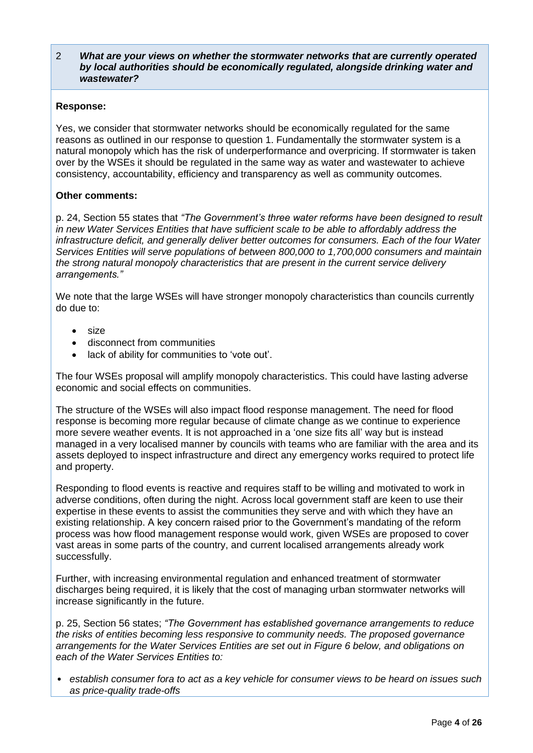#### 2 *What are your views on whether the stormwater networks that are currently operated by local authorities should be economically regulated, alongside drinking water and wastewater?*

#### **Response:**

Yes, we consider that stormwater networks should be economically regulated for the same reasons as outlined in our response to question 1. Fundamentally the stormwater system is a natural monopoly which has the risk of underperformance and overpricing. If stormwater is taken over by the WSEs it should be regulated in the same way as water and wastewater to achieve consistency, accountability, efficiency and transparency as well as community outcomes.

## **Other comments:**

p. 24, Section 55 states that *"The Government's three water reforms have been designed to result in new Water Services Entities that have sufficient scale to be able to affordably address the infrastructure deficit, and generally deliver better outcomes for consumers. Each of the four Water Services Entities will serve populations of between 800,000 to 1,700,000 consumers and maintain the strong natural monopoly characteristics that are present in the current service delivery arrangements."* 

We note that the large WSEs will have stronger monopoly characteristics than councils currently do due to:

- size
- disconnect from communities
- lack of ability for communities to 'vote out'.

The four WSEs proposal will amplify monopoly characteristics. This could have lasting adverse economic and social effects on communities.

The structure of the WSEs will also impact flood response management. The need for flood response is becoming more regular because of climate change as we continue to experience more severe weather events. It is not approached in a 'one size fits all' way but is instead managed in a very localised manner by councils with teams who are familiar with the area and its assets deployed to inspect infrastructure and direct any emergency works required to protect life and property.

Responding to flood events is reactive and requires staff to be willing and motivated to work in adverse conditions, often during the night. Across local government staff are keen to use their expertise in these events to assist the communities they serve and with which they have an existing relationship. A key concern raised prior to the Government's mandating of the reform process was how flood management response would work, given WSEs are proposed to cover vast areas in some parts of the country, and current localised arrangements already work successfully.

Further, with increasing environmental regulation and enhanced treatment of stormwater discharges being required, it is likely that the cost of managing urban stormwater networks will increase significantly in the future.

p. 25, Section 56 states; *"The Government has established governance arrangements to reduce the risks of entities becoming less responsive to community needs. The proposed governance arrangements for the Water Services Entities are set out in Figure 6 below, and obligations on each of the Water Services Entities to:*

• *establish consumer fora to act as a key vehicle for consumer views to be heard on issues such as price-quality trade-offs*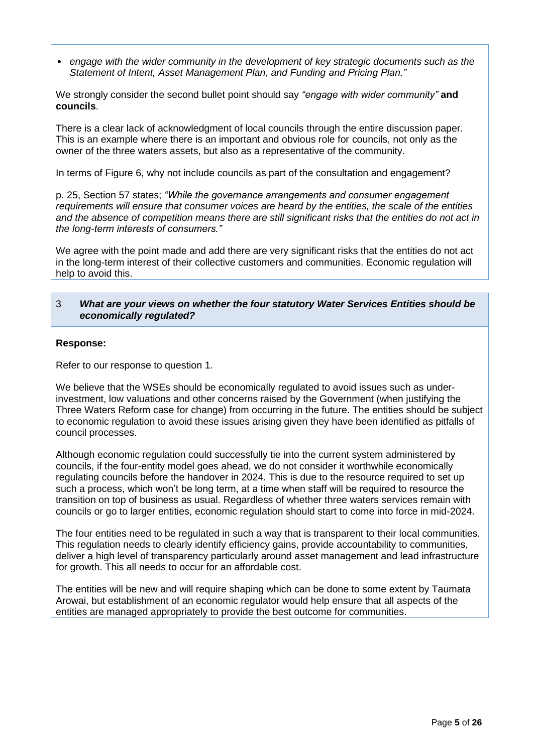• *engage with the wider community in the development of key strategic documents such as the Statement of Intent, Asset Management Plan, and Funding and Pricing Plan."*

We strongly consider the second bullet point should say *"engage with wider community"* **and councils**.

There is a clear lack of acknowledgment of local councils through the entire discussion paper. This is an example where there is an important and obvious role for councils, not only as the owner of the three waters assets, but also as a representative of the community.

In terms of Figure 6, why not include councils as part of the consultation and engagement?

p. 25, Section 57 states; *"While the governance arrangements and consumer engagement requirements will ensure that consumer voices are heard by the entities, the scale of the entities and the absence of competition means there are still significant risks that the entities do not act in the long-term interests of consumers."*

We agree with the point made and add there are very significant risks that the entities do not act in the long-term interest of their collective customers and communities. Economic regulation will help to avoid this.

#### 3 *What are your views on whether the four statutory Water Services Entities should be economically regulated?*

#### **Response:**

Refer to our response to question 1.

We believe that the WSEs should be economically regulated to avoid issues such as underinvestment, low valuations and other concerns raised by the Government (when justifying the Three Waters Reform case for change) from occurring in the future. The entities should be subject to economic regulation to avoid these issues arising given they have been identified as pitfalls of council processes.

Although economic regulation could successfully tie into the current system administered by councils, if the four-entity model goes ahead, we do not consider it worthwhile economically regulating councils before the handover in 2024. This is due to the resource required to set up such a process, which won't be long term, at a time when staff will be required to resource the transition on top of business as usual. Regardless of whether three waters services remain with councils or go to larger entities, economic regulation should start to come into force in mid-2024.

The four entities need to be regulated in such a way that is transparent to their local communities. This regulation needs to clearly identify efficiency gains, provide accountability to communities, deliver a high level of transparency particularly around asset management and lead infrastructure for growth. This all needs to occur for an affordable cost.

The entities will be new and will require shaping which can be done to some extent by Taumata Arowai, but establishment of an economic regulator would help ensure that all aspects of the entities are managed appropriately to provide the best outcome for communities.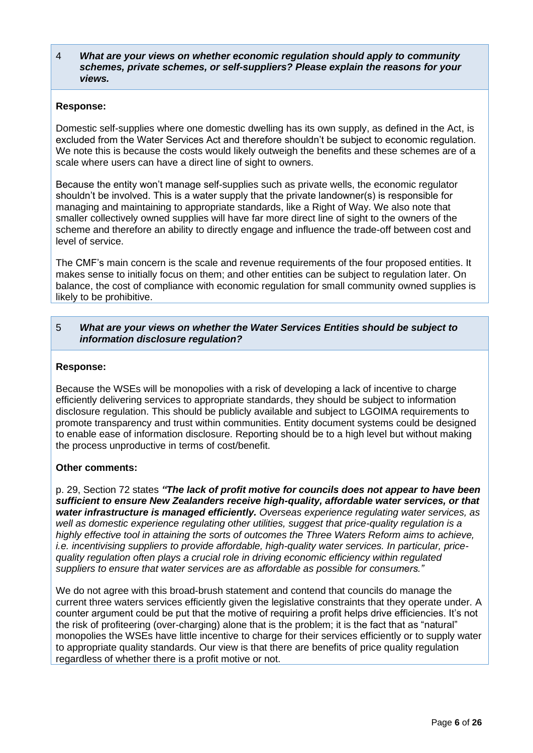4 *What are your views on whether economic regulation should apply to community schemes, private schemes, or self-suppliers? Please explain the reasons for your views.*

#### **Response:**

Domestic self-supplies where one domestic dwelling has its own supply, as defined in the Act, is excluded from the Water Services Act and therefore shouldn't be subject to economic regulation. We note this is because the costs would likely outweigh the benefits and these schemes are of a scale where users can have a direct line of sight to owners.

Because the entity won't manage self-supplies such as private wells, the economic regulator shouldn't be involved. This is a water supply that the private landowner(s) is responsible for managing and maintaining to appropriate standards, like a Right of Way. We also note that smaller collectively owned supplies will have far more direct line of sight to the owners of the scheme and therefore an ability to directly engage and influence the trade-off between cost and level of service.

The CMF's main concern is the scale and revenue requirements of the four proposed entities. It makes sense to initially focus on them; and other entities can be subject to regulation later. On balance, the cost of compliance with economic regulation for small community owned supplies is likely to be prohibitive.

## 5 *What are your views on whether the Water Services Entities should be subject to information disclosure regulation?*

#### **Response:**

Because the WSEs will be monopolies with a risk of developing a lack of incentive to charge efficiently delivering services to appropriate standards, they should be subject to information disclosure regulation. This should be publicly available and subject to LGOIMA requirements to promote transparency and trust within communities. Entity document systems could be designed to enable ease of information disclosure. Reporting should be to a high level but without making the process unproductive in terms of cost/benefit.

## **Other comments:**

p. 29, Section 72 states *"The lack of profit motive for councils does not appear to have been sufficient to ensure New Zealanders receive high-quality, affordable water services, or that water infrastructure is managed efficiently. Overseas experience regulating water services, as well as domestic experience regulating other utilities, suggest that price-quality regulation is a highly effective tool in attaining the sorts of outcomes the Three Waters Reform aims to achieve, i.e. incentivising suppliers to provide affordable, high-quality water services. In particular, pricequality regulation often plays a crucial role in driving economic efficiency within regulated suppliers to ensure that water services are as affordable as possible for consumers."*

We do not agree with this broad-brush statement and contend that councils do manage the current three waters services efficiently given the legislative constraints that they operate under. A counter argument could be put that the motive of requiring a profit helps drive efficiencies. It's not the risk of profiteering (over-charging) alone that is the problem; it is the fact that as "natural" monopolies the WSEs have little incentive to charge for their services efficiently or to supply water to appropriate quality standards. Our view is that there are benefits of price quality regulation regardless of whether there is a profit motive or not.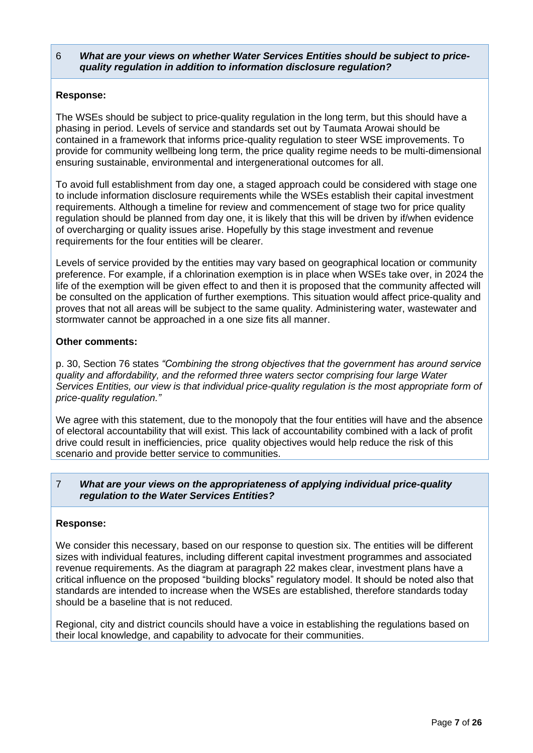## 6 *What are your views on whether Water Services Entities should be subject to pricequality regulation in addition to information disclosure regulation?*

## **Response:**

The WSEs should be subject to price-quality regulation in the long term, but this should have a phasing in period. Levels of service and standards set out by Taumata Arowai should be contained in a framework that informs price-quality regulation to steer WSE improvements. To provide for community wellbeing long term, the price quality regime needs to be multi-dimensional ensuring sustainable, environmental and intergenerational outcomes for all.

To avoid full establishment from day one, a staged approach could be considered with stage one to include information disclosure requirements while the WSEs establish their capital investment requirements. Although a timeline for review and commencement of stage two for price quality regulation should be planned from day one, it is likely that this will be driven by if/when evidence of overcharging or quality issues arise. Hopefully by this stage investment and revenue requirements for the four entities will be clearer.

Levels of service provided by the entities may vary based on geographical location or community preference. For example, if a chlorination exemption is in place when WSEs take over, in 2024 the life of the exemption will be given effect to and then it is proposed that the community affected will be consulted on the application of further exemptions. This situation would affect price-quality and proves that not all areas will be subject to the same quality. Administering water, wastewater and stormwater cannot be approached in a one size fits all manner.

## **Other comments:**

p. 30, Section 76 states *"Combining the strong objectives that the government has around service quality and affordability, and the reformed three waters sector comprising four large Water Services Entities, our view is that individual price-quality regulation is the most appropriate form of price-quality regulation."*

We agree with this statement, due to the monopoly that the four entities will have and the absence of electoral accountability that will exist. This lack of accountability combined with a lack of profit drive could result in inefficiencies, price quality objectives would help reduce the risk of this scenario and provide better service to communities.

## 7 *What are your views on the appropriateness of applying individual price-quality regulation to the Water Services Entities?*

## **Response:**

We consider this necessary, based on our response to question six. The entities will be different sizes with individual features, including different capital investment programmes and associated revenue requirements. As the diagram at paragraph 22 makes clear, investment plans have a critical influence on the proposed "building blocks" regulatory model. It should be noted also that standards are intended to increase when the WSEs are established, therefore standards today should be a baseline that is not reduced.

Regional, city and district councils should have a voice in establishing the regulations based on their local knowledge, and capability to advocate for their communities.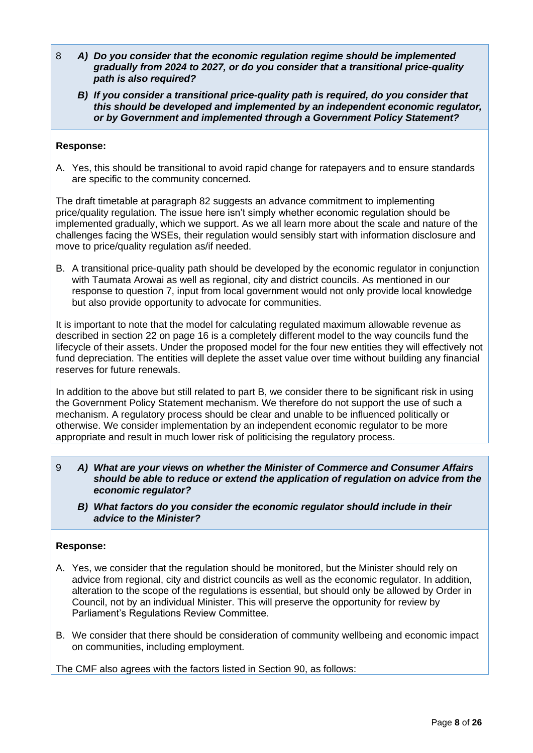- 8 *A) Do you consider that the economic regulation regime should be implemented gradually from 2024 to 2027, or do you consider that a transitional price-quality path is also required?*
	- *B) If you consider a transitional price-quality path is required, do you consider that this should be developed and implemented by an independent economic regulator, or by Government and implemented through a Government Policy Statement?*

## **Response:**

A. Yes, this should be transitional to avoid rapid change for ratepayers and to ensure standards are specific to the community concerned.

The draft timetable at paragraph 82 suggests an advance commitment to implementing price/quality regulation. The issue here isn't simply whether economic regulation should be implemented gradually, which we support. As we all learn more about the scale and nature of the challenges facing the WSEs, their regulation would sensibly start with information disclosure and move to price/quality regulation as/if needed.

B. A transitional price-quality path should be developed by the economic regulator in conjunction with Taumata Arowai as well as regional, city and district councils. As mentioned in our response to question 7, input from local government would not only provide local knowledge but also provide opportunity to advocate for communities.

It is important to note that the model for calculating regulated maximum allowable revenue as described in section 22 on page 16 is a completely different model to the way councils fund the lifecycle of their assets. Under the proposed model for the four new entities they will effectively not fund depreciation. The entities will deplete the asset value over time without building any financial reserves for future renewals.

In addition to the above but still related to part B, we consider there to be significant risk in using the Government Policy Statement mechanism. We therefore do not support the use of such a mechanism. A regulatory process should be clear and unable to be influenced politically or otherwise. We consider implementation by an independent economic regulator to be more appropriate and result in much lower risk of politicising the regulatory process.

- 9 *A) What are your views on whether the Minister of Commerce and Consumer Affairs should be able to reduce or extend the application of regulation on advice from the economic regulator?*
	- *B) What factors do you consider the economic regulator should include in their advice to the Minister?*

## **Response:**

- A. Yes, we consider that the regulation should be monitored, but the Minister should rely on advice from regional, city and district councils as well as the economic regulator. In addition, alteration to the scope of the regulations is essential, but should only be allowed by Order in Council, not by an individual Minister. This will preserve the opportunity for review by Parliament's Regulations Review Committee.
- B. We consider that there should be consideration of community wellbeing and economic impact on communities, including employment.

The CMF also agrees with the factors listed in Section 90, as follows: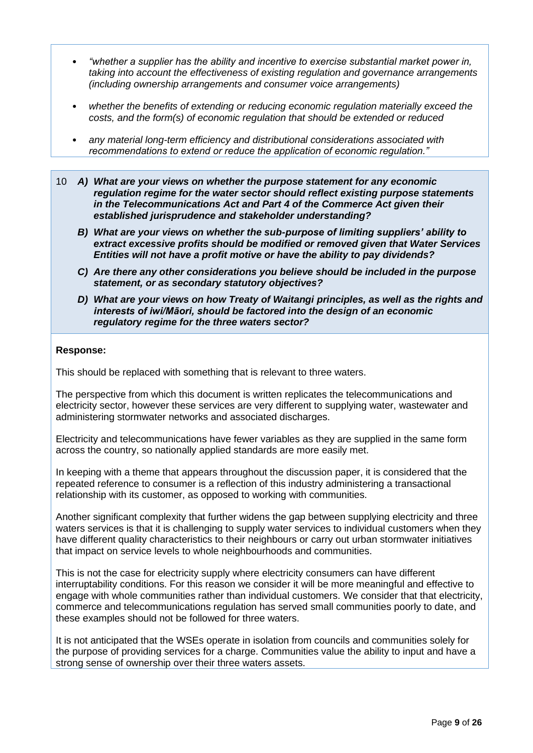- *"whether a supplier has the ability and incentive to exercise substantial market power in, taking into account the effectiveness of existing regulation and governance arrangements (including ownership arrangements and consumer voice arrangements)*
- *whether the benefits of extending or reducing economic regulation materially exceed the costs, and the form(s) of economic regulation that should be extended or reduced*
- *any material long-term efficiency and distributional considerations associated with recommendations to extend or reduce the application of economic regulation."*
- 10 *A) What are your views on whether the purpose statement for any economic regulation regime for the water sector should reflect existing purpose statements in the Telecommunications Act and Part 4 of the Commerce Act given their established jurisprudence and stakeholder understanding?* 
	- *B) What are your views on whether the sub-purpose of limiting suppliers' ability to extract excessive profits should be modified or removed given that Water Services Entities will not have a profit motive or have the ability to pay dividends?*
	- *C) Are there any other considerations you believe should be included in the purpose statement, or as secondary statutory objectives?*
	- *D) What are your views on how Treaty of Waitangi principles, as well as the rights and interests of iwi/Māori, should be factored into the design of an economic regulatory regime for the three waters sector?*

#### **Response:**

This should be replaced with something that is relevant to three waters.

The perspective from which this document is written replicates the telecommunications and electricity sector, however these services are very different to supplying water, wastewater and administering stormwater networks and associated discharges.

Electricity and telecommunications have fewer variables as they are supplied in the same form across the country, so nationally applied standards are more easily met.

In keeping with a theme that appears throughout the discussion paper, it is considered that the repeated reference to consumer is a reflection of this industry administering a transactional relationship with its customer, as opposed to working with communities.

Another significant complexity that further widens the gap between supplying electricity and three waters services is that it is challenging to supply water services to individual customers when they have different quality characteristics to their neighbours or carry out urban stormwater initiatives that impact on service levels to whole neighbourhoods and communities.

This is not the case for electricity supply where electricity consumers can have different interruptability conditions. For this reason we consider it will be more meaningful and effective to engage with whole communities rather than individual customers. We consider that that electricity, commerce and telecommunications regulation has served small communities poorly to date, and these examples should not be followed for three waters.

It is not anticipated that the WSEs operate in isolation from councils and communities solely for the purpose of providing services for a charge. Communities value the ability to input and have a strong sense of ownership over their three waters assets.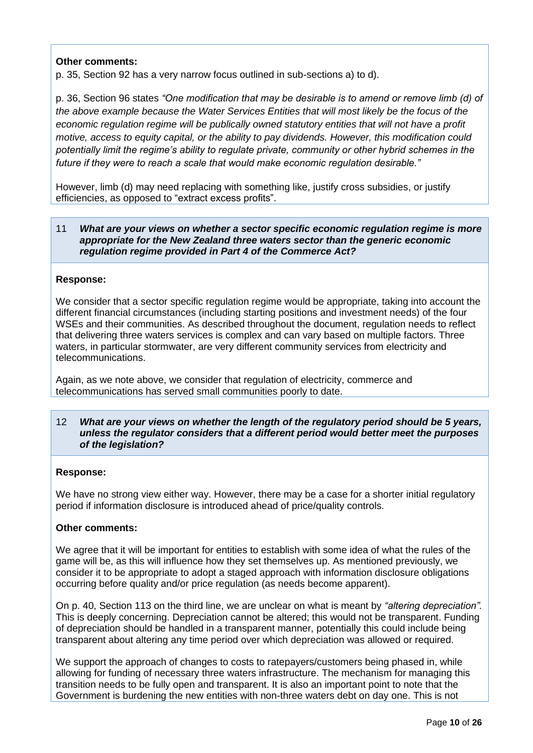## **Other comments:**

p. 35, Section 92 has a very narrow focus outlined in sub-sections a) to d).

p. 36, Section 96 states *"One modification that may be desirable is to amend or remove limb (d) of the above example because the Water Services Entities that will most likely be the focus of the economic regulation regime will be publically owned statutory entities that will not have a profit motive, access to equity capital, or the ability to pay dividends. However, this modification could potentially limit the regime's ability to regulate private, community or other hybrid schemes in the future if they were to reach a scale that would make economic regulation desirable."*

However, limb (d) may need replacing with something like, justify cross subsidies, or justify efficiencies, as opposed to "extract excess profits".

## 11 *What are your views on whether a sector specific economic regulation regime is more appropriate for the New Zealand three waters sector than the generic economic regulation regime provided in Part 4 of the Commerce Act?*

## **Response:**

We consider that a sector specific regulation regime would be appropriate, taking into account the different financial circumstances (including starting positions and investment needs) of the four WSEs and their communities. As described throughout the document, regulation needs to reflect that delivering three waters services is complex and can vary based on multiple factors. Three waters, in particular stormwater, are very different community services from electricity and telecommunications.

Again, as we note above, we consider that regulation of electricity, commerce and telecommunications has served small communities poorly to date.

#### 12 *What are your views on whether the length of the regulatory period should be 5 years, unless the regulator considers that a different period would better meet the purposes of the legislation?*

#### **Response:**

We have no strong view either way. However, there may be a case for a shorter initial regulatory period if information disclosure is introduced ahead of price/quality controls.

## **Other comments:**

We agree that it will be important for entities to establish with some idea of what the rules of the game will be, as this will influence how they set themselves up. As mentioned previously, we consider it to be appropriate to adopt a staged approach with information disclosure obligations occurring before quality and/or price regulation (as needs become apparent).

On p. 40, Section 113 on the third line, we are unclear on what is meant by *"altering depreciation".* This is deeply concerning. Depreciation cannot be altered; this would not be transparent. Funding of depreciation should be handled in a transparent manner, potentially this could include being transparent about altering any time period over which depreciation was allowed or required.

We support the approach of changes to costs to ratepayers/customers being phased in, while allowing for funding of necessary three waters infrastructure. The mechanism for managing this transition needs to be fully open and transparent. It is also an important point to note that the Government is burdening the new entities with non-three waters debt on day one. This is not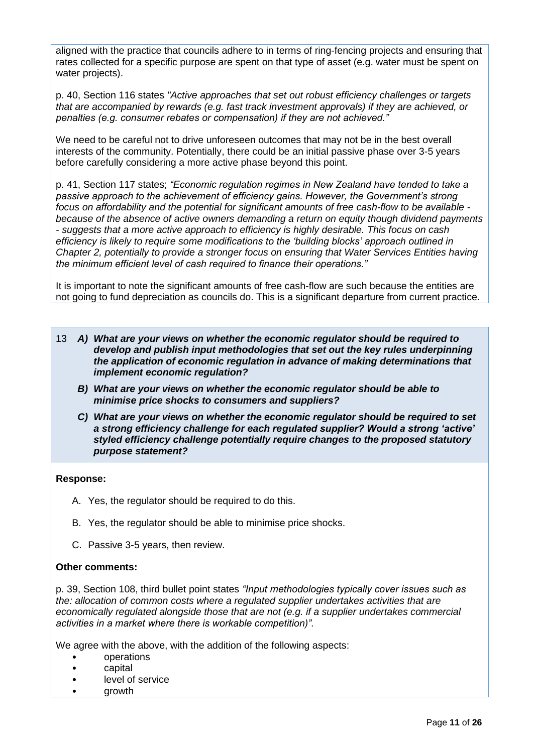aligned with the practice that councils adhere to in terms of ring-fencing projects and ensuring that rates collected for a specific purpose are spent on that type of asset (e.g. water must be spent on water projects).

p. 40, Section 116 states *"Active approaches that set out robust efficiency challenges or targets that are accompanied by rewards (e.g. fast track investment approvals) if they are achieved, or penalties (e.g. consumer rebates or compensation) if they are not achieved."*

We need to be careful not to drive unforeseen outcomes that may not be in the best overall interests of the community. Potentially, there could be an initial passive phase over 3-5 years before carefully considering a more active phase beyond this point.

p. 41, Section 117 states; *"Economic regulation regimes in New Zealand have tended to take a passive approach to the achievement of efficiency gains. However, the Government's strong focus on affordability and the potential for significant amounts of free cash-flow to be available because of the absence of active owners demanding a return on equity though dividend payments - suggests that a more active approach to efficiency is highly desirable. This focus on cash efficiency is likely to require some modifications to the 'building blocks' approach outlined in Chapter 2, potentially to provide a stronger focus on ensuring that Water Services Entities having the minimum efficient level of cash required to finance their operations."*

It is important to note the significant amounts of free cash-flow are such because the entities are not going to fund depreciation as councils do. This is a significant departure from current practice.

- 13 *A) What are your views on whether the economic regulator should be required to develop and publish input methodologies that set out the key rules underpinning the application of economic regulation in advance of making determinations that implement economic regulation?* 
	- *B) What are your views on whether the economic regulator should be able to minimise price shocks to consumers and suppliers?*
	- *C) What are your views on whether the economic regulator should be required to set a strong efficiency challenge for each regulated supplier? Would a strong 'active' styled efficiency challenge potentially require changes to the proposed statutory purpose statement?*

#### **Response:**

- A. Yes, the regulator should be required to do this.
- B. Yes, the regulator should be able to minimise price shocks.
- C. Passive 3-5 years, then review.

#### **Other comments:**

p. 39, Section 108, third bullet point states *"Input methodologies typically cover issues such as the: allocation of common costs where a regulated supplier undertakes activities that are economically regulated alongside those that are not (e.g. if a supplier undertakes commercial activities in a market where there is workable competition)".*

We agree with the above, with the addition of the following aspects:

- operations
- capital
- level of service
- growth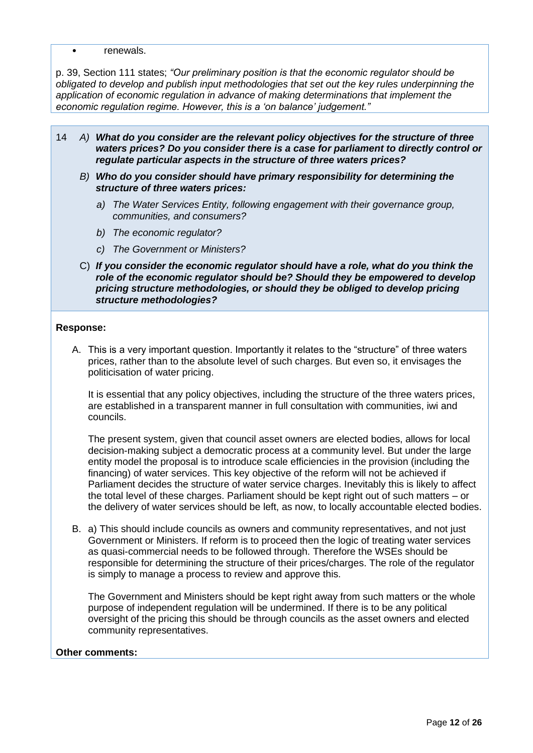• renewals.

p. 39, Section 111 states; *"Our preliminary position is that the economic regulator should be obligated to develop and publish input methodologies that set out the key rules underpinning the application of economic regulation in advance of making determinations that implement the economic regulation regime. However, this is a 'on balance' judgement."*

- 14 *A) What do you consider are the relevant policy objectives for the structure of three waters prices? Do you consider there is a case for parliament to directly control or regulate particular aspects in the structure of three waters prices?*
	- *B) Who do you consider should have primary responsibility for determining the structure of three waters prices:*
		- *a) The Water Services Entity, following engagement with their governance group, communities, and consumers?*
		- *b) The economic regulator?*
		- *c) The Government or Ministers?*
	- C) *If you consider the economic regulator should have a role, what do you think the role of the economic regulator should be? Should they be empowered to develop pricing structure methodologies, or should they be obliged to develop pricing structure methodologies?*

#### **Response:**

A. This is a very important question. Importantly it relates to the "structure" of three waters prices, rather than to the absolute level of such charges. But even so, it envisages the politicisation of water pricing.

It is essential that any policy objectives, including the structure of the three waters prices, are established in a transparent manner in full consultation with communities, iwi and councils.

The present system, given that council asset owners are elected bodies, allows for local decision-making subject a democratic process at a community level. But under the large entity model the proposal is to introduce scale efficiencies in the provision (including the financing) of water services. This key objective of the reform will not be achieved if Parliament decides the structure of water service charges. Inevitably this is likely to affect the total level of these charges. Parliament should be kept right out of such matters – or the delivery of water services should be left, as now, to locally accountable elected bodies.

B. a) This should include councils as owners and community representatives, and not just Government or Ministers. If reform is to proceed then the logic of treating water services as quasi-commercial needs to be followed through. Therefore the WSEs should be responsible for determining the structure of their prices/charges. The role of the regulator is simply to manage a process to review and approve this.

The Government and Ministers should be kept right away from such matters or the whole purpose of independent regulation will be undermined. If there is to be any political oversight of the pricing this should be through councils as the asset owners and elected community representatives.

#### **Other comments:**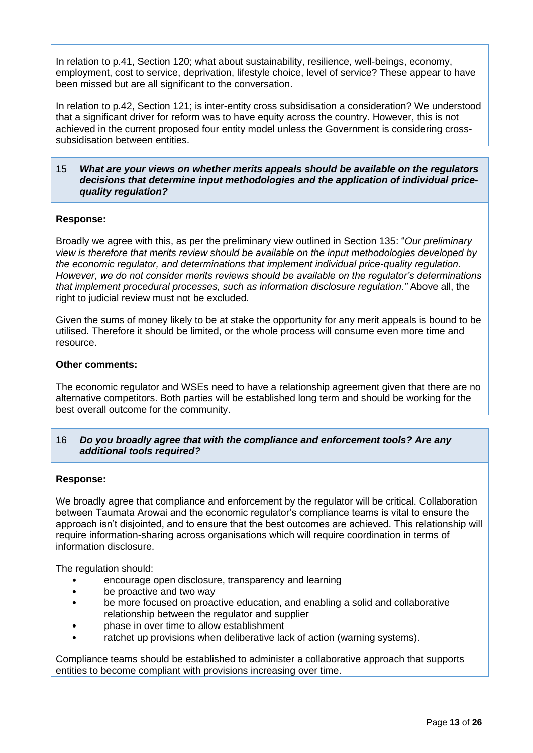In relation to p.41, Section 120; what about sustainability, resilience, well-beings, economy, employment, cost to service, deprivation, lifestyle choice, level of service? These appear to have been missed but are all significant to the conversation.

In relation to p.42, Section 121; is inter-entity cross subsidisation a consideration? We understood that a significant driver for reform was to have equity across the country. However, this is not achieved in the current proposed four entity model unless the Government is considering crosssubsidisation between entities.

#### 15 *What are your views on whether merits appeals should be available on the regulators decisions that determine input methodologies and the application of individual pricequality regulation?*

## **Response:**

Broadly we agree with this, as per the preliminary view outlined in Section 135: "*Our preliminary view is therefore that merits review should be available on the input methodologies developed by the economic regulator, and determinations that implement individual price-quality regulation. However, we do not consider merits reviews should be available on the regulator's determinations that implement procedural processes, such as information disclosure regulation."* Above all, the right to judicial review must not be excluded.

Given the sums of money likely to be at stake the opportunity for any merit appeals is bound to be utilised. Therefore it should be limited, or the whole process will consume even more time and resource.

#### **Other comments:**

The economic regulator and WSEs need to have a relationship agreement given that there are no alternative competitors. Both parties will be established long term and should be working for the best overall outcome for the community.

#### 16 *Do you broadly agree that with the compliance and enforcement tools? Are any additional tools required?*

#### **Response:**

We broadly agree that compliance and enforcement by the regulator will be critical. Collaboration between Taumata Arowai and the economic regulator's compliance teams is vital to ensure the approach isn't disjointed, and to ensure that the best outcomes are achieved. This relationship will require information-sharing across organisations which will require coordination in terms of information disclosure.

The regulation should:

- encourage open disclosure, transparency and learning
- be proactive and two way
- be more focused on proactive education, and enabling a solid and collaborative relationship between the regulator and supplier
- phase in over time to allow establishment
- ratchet up provisions when deliberative lack of action (warning systems).

Compliance teams should be established to administer a collaborative approach that supports entities to become compliant with provisions increasing over time.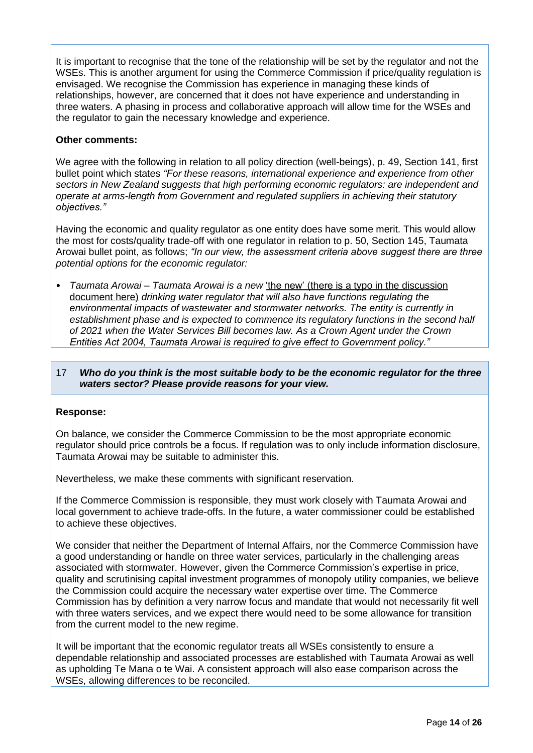It is important to recognise that the tone of the relationship will be set by the regulator and not the WSEs. This is another argument for using the Commerce Commission if price/quality regulation is envisaged. We recognise the Commission has experience in managing these kinds of relationships, however, are concerned that it does not have experience and understanding in three waters. A phasing in process and collaborative approach will allow time for the WSEs and the regulator to gain the necessary knowledge and experience.

## **Other comments:**

We agree with the following in relation to all policy direction (well-beings), p. 49, Section 141, first bullet point which states *"For these reasons, international experience and experience from other sectors in New Zealand suggests that high performing economic regulators: are independent and operate at arms-length from Government and regulated suppliers in achieving their statutory objectives."*

Having the economic and quality regulator as one entity does have some merit. This would allow the most for costs/quality trade-off with one regulator in relation to p. 50, Section 145, Taumata Arowai bullet point, as follows; *"In our view, the assessment criteria above suggest there are three potential options for the economic regulator:*

• *Taumata Arowai – Taumata Arowai is a new* 'the new' (there is a typo in the discussion document here) *drinking water regulator that will also have functions regulating the environmental impacts of wastewater and stormwater networks. The entity is currently in*  establishment phase and is expected to commence its regulatory functions in the second half *of 2021 when the Water Services Bill becomes law. As a Crown Agent under the Crown Entities Act 2004, Taumata Arowai is required to give effect to Government policy."*

## 17 *Who do you think is the most suitable body to be the economic regulator for the three waters sector? Please provide reasons for your view.*

## **Response:**

On balance, we consider the Commerce Commission to be the most appropriate economic regulator should price controls be a focus. If regulation was to only include information disclosure, Taumata Arowai may be suitable to administer this.

Nevertheless, we make these comments with significant reservation.

If the Commerce Commission is responsible, they must work closely with Taumata Arowai and local government to achieve trade-offs. In the future, a water commissioner could be established to achieve these objectives.

We consider that neither the Department of Internal Affairs, nor the Commerce Commission have a good understanding or handle on three water services, particularly in the challenging areas associated with stormwater. However, given the Commerce Commission's expertise in price, quality and scrutinising capital investment programmes of monopoly utility companies, we believe the Commission could acquire the necessary water expertise over time. The Commerce Commission has by definition a very narrow focus and mandate that would not necessarily fit well with three waters services, and we expect there would need to be some allowance for transition from the current model to the new regime.

It will be important that the economic regulator treats all WSEs consistently to ensure a dependable relationship and associated processes are established with Taumata Arowai as well as upholding Te Mana o te Wai. A consistent approach will also ease comparison across the WSEs, allowing differences to be reconciled.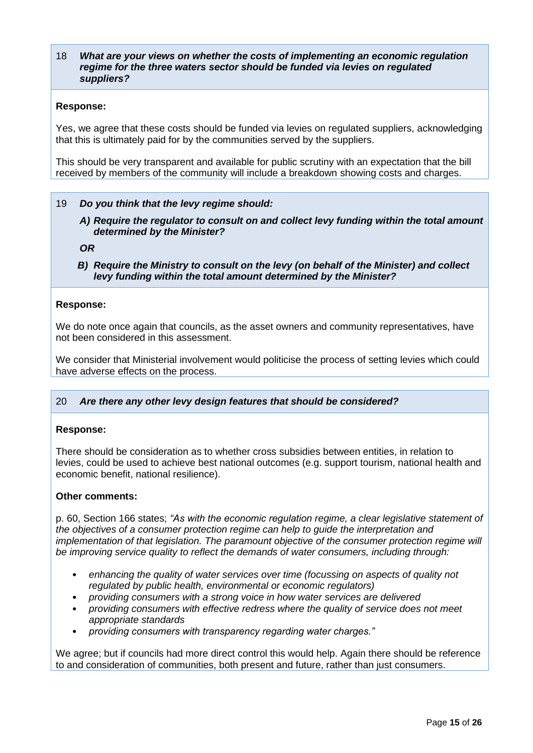#### 18 *What are your views on whether the costs of implementing an economic regulation regime for the three waters sector should be funded via levies on regulated suppliers?*

#### **Response:**

Yes, we agree that these costs should be funded via levies on regulated suppliers, acknowledging that this is ultimately paid for by the communities served by the suppliers.

This should be very transparent and available for public scrutiny with an expectation that the bill received by members of the community will include a breakdown showing costs and charges.

#### 19 *Do you think that the levy regime should:*

*A) Require the regulator to consult on and collect levy funding within the total amount determined by the Minister?*

*OR*

*B) Require the Ministry to consult on the levy (on behalf of the Minister) and collect levy funding within the total amount determined by the Minister?*

#### **Response:**

We do note once again that councils, as the asset owners and community representatives, have not been considered in this assessment.

We consider that Ministerial involvement would politicise the process of setting levies which could have adverse effects on the process.

#### 20 *Are there any other levy design features that should be considered?*

#### **Response:**

There should be consideration as to whether cross subsidies between entities, in relation to levies, could be used to achieve best national outcomes (e.g. support tourism, national health and economic benefit, national resilience).

#### **Other comments:**

p. 60, Section 166 states; *"As with the economic regulation regime, a clear legislative statement of the objectives of a consumer protection regime can help to guide the interpretation and implementation of that legislation. The paramount objective of the consumer protection regime will be improving service quality to reflect the demands of water consumers, including through:*

- *enhancing the quality of water services over time (focussing on aspects of quality not regulated by public health, environmental or economic regulators)*
- *providing consumers with a strong voice in how water services are delivered*
- *providing consumers with effective redress where the quality of service does not meet appropriate standards*
- *providing consumers with transparency regarding water charges."*

We agree; but if councils had more direct control this would help. Again there should be reference to and consideration of communities, both present and future, rather than just consumers.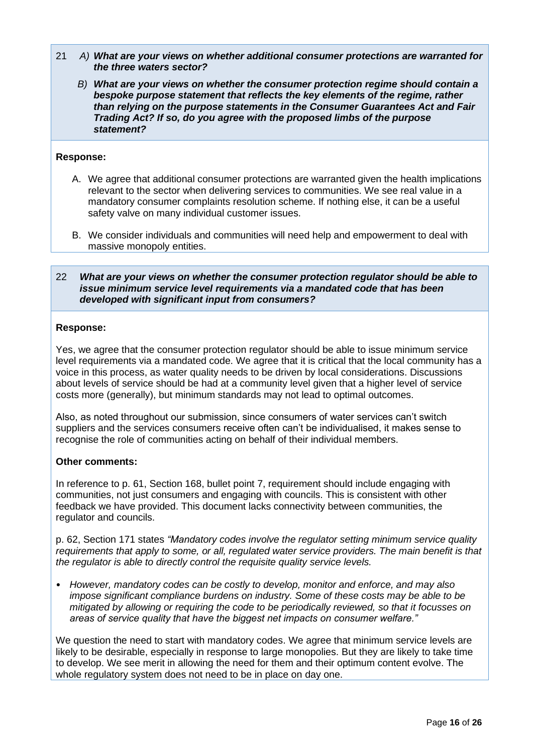- 21 *A) What are your views on whether additional consumer protections are warranted for the three waters sector?*
	- *B) What are your views on whether the consumer protection regime should contain a bespoke purpose statement that reflects the key elements of the regime, rather than relying on the purpose statements in the Consumer Guarantees Act and Fair Trading Act? If so, do you agree with the proposed limbs of the purpose statement?*

#### **Response:**

- A. We agree that additional consumer protections are warranted given the health implications relevant to the sector when delivering services to communities. We see real value in a mandatory consumer complaints resolution scheme. If nothing else, it can be a useful safety valve on many individual customer issues.
- B. We consider individuals and communities will need help and empowerment to deal with massive monopoly entities.

#### 22 *What are your views on whether the consumer protection regulator should be able to issue minimum service level requirements via a mandated code that has been developed with significant input from consumers?*

#### **Response:**

Yes, we agree that the consumer protection regulator should be able to issue minimum service level requirements via a mandated code. We agree that it is critical that the local community has a voice in this process, as water quality needs to be driven by local considerations. Discussions about levels of service should be had at a community level given that a higher level of service costs more (generally), but minimum standards may not lead to optimal outcomes.

Also, as noted throughout our submission, since consumers of water services can't switch suppliers and the services consumers receive often can't be individualised, it makes sense to recognise the role of communities acting on behalf of their individual members.

## **Other comments:**

In reference to p. 61, Section 168, bullet point 7, requirement should include engaging with communities, not just consumers and engaging with councils. This is consistent with other feedback we have provided. This document lacks connectivity between communities, the regulator and councils.

p. 62, Section 171 states *"Mandatory codes involve the regulator setting minimum service quality requirements that apply to some, or all, regulated water service providers. The main benefit is that the regulator is able to directly control the requisite quality service levels.* 

• *However, mandatory codes can be costly to develop, monitor and enforce, and may also impose significant compliance burdens on industry. Some of these costs may be able to be mitigated by allowing or requiring the code to be periodically reviewed, so that it focusses on areas of service quality that have the biggest net impacts on consumer welfare."*

We question the need to start with mandatory codes. We agree that minimum service levels are likely to be desirable, especially in response to large monopolies. But they are likely to take time to develop. We see merit in allowing the need for them and their optimum content evolve. The whole regulatory system does not need to be in place on day one.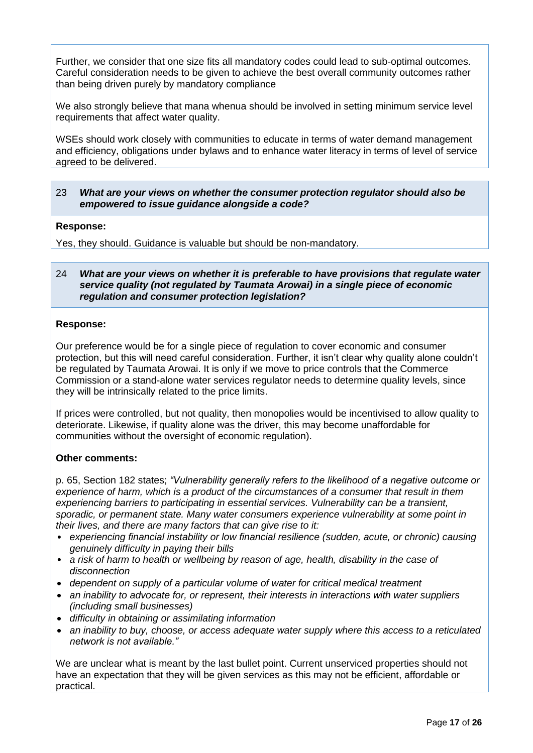Further, we consider that one size fits all mandatory codes could lead to sub-optimal outcomes. Careful consideration needs to be given to achieve the best overall community outcomes rather than being driven purely by mandatory compliance

We also strongly believe that mana whenua should be involved in setting minimum service level requirements that affect water quality.

WSEs should work closely with communities to educate in terms of water demand management and efficiency, obligations under bylaws and to enhance water literacy in terms of level of service agreed to be delivered.

## 23 *What are your views on whether the consumer protection regulator should also be empowered to issue guidance alongside a code?*

## **Response:**

Yes, they should. Guidance is valuable but should be non-mandatory.

#### 24 *What are your views on whether it is preferable to have provisions that regulate water service quality (not regulated by Taumata Arowai) in a single piece of economic regulation and consumer protection legislation?*

#### **Response:**

Our preference would be for a single piece of regulation to cover economic and consumer protection, but this will need careful consideration. Further, it isn't clear why quality alone couldn't be regulated by Taumata Arowai. It is only if we move to price controls that the Commerce Commission or a stand-alone water services regulator needs to determine quality levels, since they will be intrinsically related to the price limits.

If prices were controlled, but not quality, then monopolies would be incentivised to allow quality to deteriorate. Likewise, if quality alone was the driver, this may become unaffordable for communities without the oversight of economic regulation).

## **Other comments:**

p. 65, Section 182 states; *"Vulnerability generally refers to the likelihood of a negative outcome or experience of harm, which is a product of the circumstances of a consumer that result in them experiencing barriers to participating in essential services. Vulnerability can be a transient, sporadic, or permanent state. Many water consumers experience vulnerability at some point in their lives, and there are many factors that can give rise to it:*

- *experiencing financial instability or low financial resilience (sudden, acute, or chronic) causing genuinely difficulty in paying their bills*
- *a risk of harm to health or wellbeing by reason of age, health, disability in the case of disconnection*
- *dependent on supply of a particular volume of water for critical medical treatment*
- *an inability to advocate for, or represent, their interests in interactions with water suppliers (including small businesses)*
- *difficulty in obtaining or assimilating information*
- *an inability to buy, choose, or access adequate water supply where this access to a reticulated network is not available."*

We are unclear what is meant by the last bullet point. Current unserviced properties should not have an expectation that they will be given services as this may not be efficient, affordable or practical.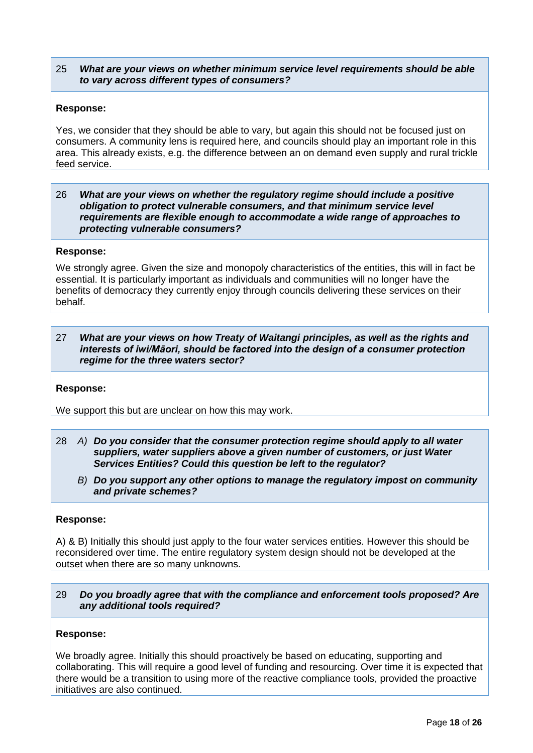## 25 *What are your views on whether minimum service level requirements should be able to vary across different types of consumers?*

#### **Response:**

Yes, we consider that they should be able to vary, but again this should not be focused just on consumers. A community lens is required here, and councils should play an important role in this area. This already exists, e.g. the difference between an on demand even supply and rural trickle feed service.

#### 26 *What are your views on whether the regulatory regime should include a positive obligation to protect vulnerable consumers, and that minimum service level requirements are flexible enough to accommodate a wide range of approaches to protecting vulnerable consumers?*

#### **Response:**

We strongly agree. Given the size and monopoly characteristics of the entities, this will in fact be essential. It is particularly important as individuals and communities will no longer have the benefits of democracy they currently enjoy through councils delivering these services on their behalf.

#### 27 *What are your views on how Treaty of Waitangi principles, as well as the rights and interests of iwi/Māori, should be factored into the design of a consumer protection regime for the three waters sector?*

#### **Response:**

We support this but are unclear on how this may work.

- 28 *A) Do you consider that the consumer protection regime should apply to all water suppliers, water suppliers above a given number of customers, or just Water Services Entities? Could this question be left to the regulator?* 
	- *B) Do you support any other options to manage the regulatory impost on community and private schemes?*

#### **Response:**

A) & B) Initially this should just apply to the four water services entities. However this should be reconsidered over time. The entire regulatory system design should not be developed at the outset when there are so many unknowns.

#### 29 *Do you broadly agree that with the compliance and enforcement tools proposed? Are any additional tools required?*

#### **Response:**

We broadly agree. Initially this should proactively be based on educating, supporting and collaborating. This will require a good level of funding and resourcing. Over time it is expected that there would be a transition to using more of the reactive compliance tools, provided the proactive initiatives are also continued.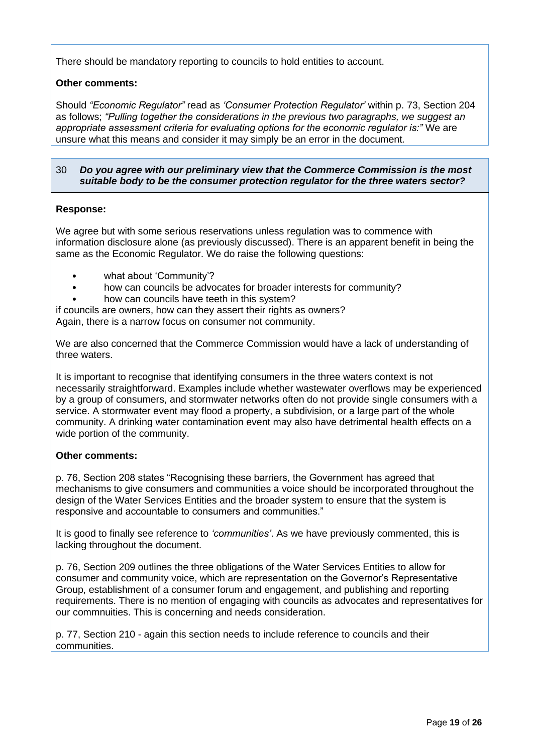There should be mandatory reporting to councils to hold entities to account.

## **Other comments:**

Should *"Economic Regulator"* read as *'Consumer Protection Regulator'* within p. 73, Section 204 as follows; *"Pulling together the considerations in the previous two paragraphs, we suggest an appropriate assessment criteria for evaluating options for the economic regulator is:"* We are unsure what this means and consider it may simply be an error in the document*.*

## 30 *Do you agree with our preliminary view that the Commerce Commission is the most suitable body to be the consumer protection regulator for the three waters sector?*

#### **Response:**

We agree but with some serious reservations unless regulation was to commence with information disclosure alone (as previously discussed). There is an apparent benefit in being the same as the Economic Regulator. We do raise the following questions:

- what about 'Community'?
- how can councils be advocates for broader interests for community?
- how can councils have teeth in this system?

if councils are owners, how can they assert their rights as owners? Again, there is a narrow focus on consumer not community.

We are also concerned that the Commerce Commission would have a lack of understanding of three waters.

It is important to recognise that identifying consumers in the three waters context is not necessarily straightforward. Examples include whether wastewater overflows may be experienced by a group of consumers, and stormwater networks often do not provide single consumers with a service. A stormwater event may flood a property, a subdivision, or a large part of the whole community. A drinking water contamination event may also have detrimental health effects on a wide portion of the community.

## **Other comments:**

p. 76, Section 208 states "Recognising these barriers, the Government has agreed that mechanisms to give consumers and communities a voice should be incorporated throughout the design of the Water Services Entities and the broader system to ensure that the system is responsive and accountable to consumers and communities."

It is good to finally see reference to *'communities'*. As we have previously commented, this is lacking throughout the document.

p. 76, Section 209 outlines the three obligations of the Water Services Entities to allow for consumer and community voice, which are representation on the Governor's Representative Group, establishment of a consumer forum and engagement, and publishing and reporting requirements. There is no mention of engaging with councils as advocates and representatives for our commnuities. This is concerning and needs consideration.

p. 77, Section 210 - again this section needs to include reference to councils and their communities.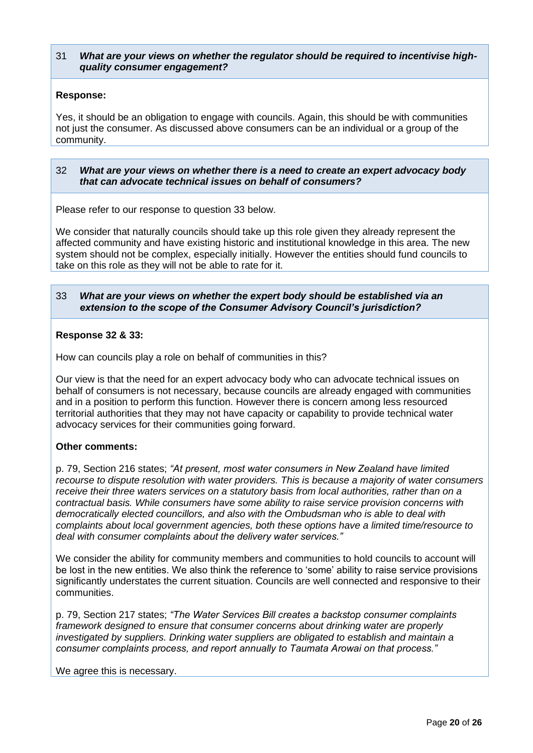## 31 *What are your views on whether the regulator should be required to incentivise highquality consumer engagement?*

## **Response:**

Yes, it should be an obligation to engage with councils. Again, this should be with communities not just the consumer. As discussed above consumers can be an individual or a group of the community.

#### 32 *What are your views on whether there is a need to create an expert advocacy body that can advocate technical issues on behalf of consumers?*

Please refer to our response to question 33 below.

We consider that naturally councils should take up this role given they already represent the affected community and have existing historic and institutional knowledge in this area. The new system should not be complex, especially initially. However the entities should fund councils to take on this role as they will not be able to rate for it.

## 33 *What are your views on whether the expert body should be established via an extension to the scope of the Consumer Advisory Council's jurisdiction?*

#### **Response 32 & 33:**

How can councils play a role on behalf of communities in this?

Our view is that the need for an expert advocacy body who can advocate technical issues on behalf of consumers is not necessary, because councils are already engaged with communities and in a position to perform this function. However there is concern among less resourced territorial authorities that they may not have capacity or capability to provide technical water advocacy services for their communities going forward.

## **Other comments:**

p. 79, Section 216 states; *"At present, most water consumers in New Zealand have limited recourse to dispute resolution with water providers. This is because a majority of water consumers receive their three waters services on a statutory basis from local authorities, rather than on a contractual basis. While consumers have some ability to raise service provision concerns with democratically elected councillors, and also with the Ombudsman who is able to deal with complaints about local government agencies, both these options have a limited time/resource to deal with consumer complaints about the delivery water services."*

We consider the ability for community members and communities to hold councils to account will be lost in the new entities. We also think the reference to 'some' ability to raise service provisions significantly understates the current situation. Councils are well connected and responsive to their communities.

p. 79, Section 217 states; *"The Water Services Bill creates a backstop consumer complaints framework designed to ensure that consumer concerns about drinking water are properly investigated by suppliers. Drinking water suppliers are obligated to establish and maintain a consumer complaints process, and report annually to Taumata Arowai on that process."*

We agree this is necessary.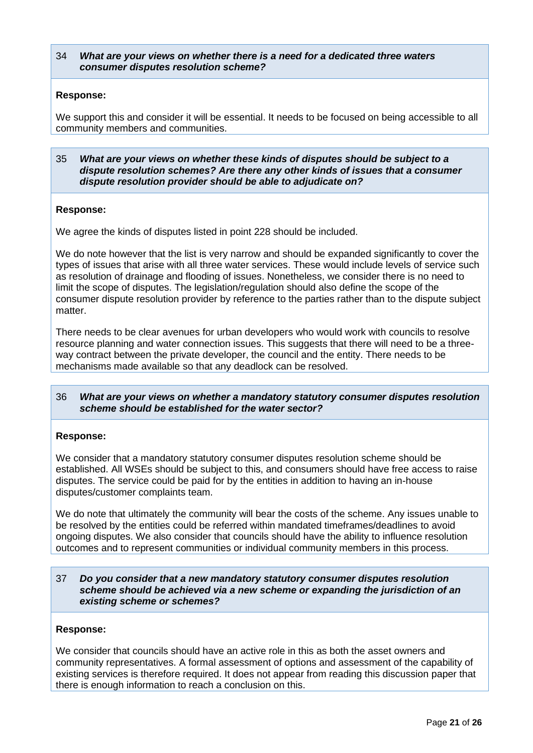#### 34 *What are your views on whether there is a need for a dedicated three waters consumer disputes resolution scheme?*

#### **Response:**

We support this and consider it will be essential. It needs to be focused on being accessible to all community members and communities.

35 *What are your views on whether these kinds of disputes should be subject to a dispute resolution schemes? Are there any other kinds of issues that a consumer dispute resolution provider should be able to adjudicate on?*

#### **Response:**

We agree the kinds of disputes listed in point 228 should be included.

We do note however that the list is very narrow and should be expanded significantly to cover the types of issues that arise with all three water services. These would include levels of service such as resolution of drainage and flooding of issues. Nonetheless, we consider there is no need to limit the scope of disputes. The legislation/regulation should also define the scope of the consumer dispute resolution provider by reference to the parties rather than to the dispute subject matter.

There needs to be clear avenues for urban developers who would work with councils to resolve resource planning and water connection issues. This suggests that there will need to be a threeway contract between the private developer, the council and the entity. There needs to be mechanisms made available so that any deadlock can be resolved.

#### 36 *What are your views on whether a mandatory statutory consumer disputes resolution scheme should be established for the water sector?*

#### **Response:**

We consider that a mandatory statutory consumer disputes resolution scheme should be established. All WSEs should be subject to this, and consumers should have free access to raise disputes. The service could be paid for by the entities in addition to having an in-house disputes/customer complaints team.

We do note that ultimately the community will bear the costs of the scheme. Any issues unable to be resolved by the entities could be referred within mandated timeframes/deadlines to avoid ongoing disputes. We also consider that councils should have the ability to influence resolution outcomes and to represent communities or individual community members in this process.

#### 37 *Do you consider that a new mandatory statutory consumer disputes resolution scheme should be achieved via a new scheme or expanding the jurisdiction of an existing scheme or schemes?*

#### **Response:**

We consider that councils should have an active role in this as both the asset owners and community representatives. A formal assessment of options and assessment of the capability of existing services is therefore required. It does not appear from reading this discussion paper that there is enough information to reach a conclusion on this.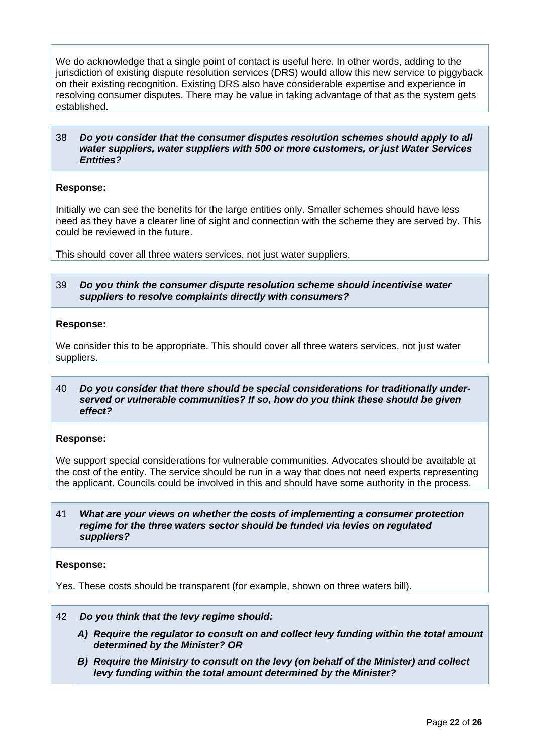We do acknowledge that a single point of contact is useful here. In other words, adding to the jurisdiction of existing dispute resolution services (DRS) would allow this new service to piggyback on their existing recognition. Existing DRS also have considerable expertise and experience in resolving consumer disputes. There may be value in taking advantage of that as the system gets established.

#### 38 *Do you consider that the consumer disputes resolution schemes should apply to all water suppliers, water suppliers with 500 or more customers, or just Water Services Entities?*

#### **Response:**

Initially we can see the benefits for the large entities only. Smaller schemes should have less need as they have a clearer line of sight and connection with the scheme they are served by. This could be reviewed in the future.

This should cover all three waters services, not just water suppliers.

#### 39 *Do you think the consumer dispute resolution scheme should incentivise water suppliers to resolve complaints directly with consumers?*

#### **Response:**

We consider this to be appropriate. This should cover all three waters services, not just water suppliers.

#### 40 *Do you consider that there should be special considerations for traditionally underserved or vulnerable communities? If so, how do you think these should be given effect?*

#### **Response:**

We support special considerations for vulnerable communities. Advocates should be available at the cost of the entity. The service should be run in a way that does not need experts representing the applicant. Councils could be involved in this and should have some authority in the process.

41 *What are your views on whether the costs of implementing a consumer protection regime for the three waters sector should be funded via levies on regulated suppliers?*

#### **Response:**

Yes. These costs should be transparent (for example, shown on three waters bill).

- 42 *Do you think that the levy regime should:*
	- *A) Require the regulator to consult on and collect levy funding within the total amount determined by the Minister? OR*
	- *B) Require the Ministry to consult on the levy (on behalf of the Minister) and collect levy funding within the total amount determined by the Minister?*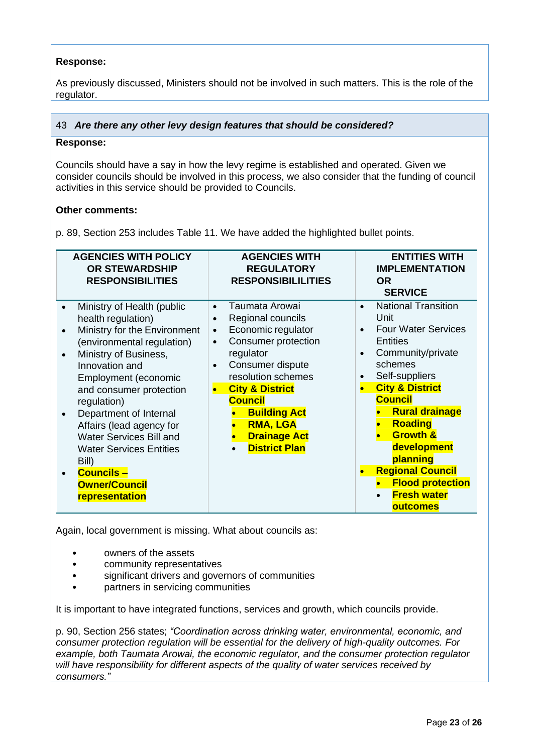## **Response:**

As previously discussed, Ministers should not be involved in such matters. This is the role of the regulator.

## 43 *Are there any other levy design features that should be considered?*

#### **Response:**

Councils should have a say in how the levy regime is established and operated. Given we consider councils should be involved in this process, we also consider that the funding of council activities in this service should be provided to Councils.

## **Other comments:**

p. 89, Section 253 includes Table 11. We have added the highlighted bullet points.

| <b>AGENCIES WITH POLICY</b><br><b>OR STEWARDSHIP</b><br><b>RESPONSIBILITIES</b>                                                                                                                                                                                                                                                                                                                                                            | <b>AGENCIES WITH</b><br><b>REGULATORY</b><br><b>RESPONSIBILILITIES</b>                                                                                                                                                                                                                                                                                   | <b>ENTITIES WITH</b><br><b>IMPLEMENTATION</b><br><b>OR</b><br><b>SERVICE</b>                                                                                                                                                                                                                                                                                                                                                                     |
|--------------------------------------------------------------------------------------------------------------------------------------------------------------------------------------------------------------------------------------------------------------------------------------------------------------------------------------------------------------------------------------------------------------------------------------------|----------------------------------------------------------------------------------------------------------------------------------------------------------------------------------------------------------------------------------------------------------------------------------------------------------------------------------------------------------|--------------------------------------------------------------------------------------------------------------------------------------------------------------------------------------------------------------------------------------------------------------------------------------------------------------------------------------------------------------------------------------------------------------------------------------------------|
| Ministry of Health (public<br>$\bullet$<br>health regulation)<br>Ministry for the Environment<br>(environmental regulation)<br>Ministry of Business,<br>Innovation and<br>Employment (economic<br>and consumer protection<br>regulation)<br>Department of Internal<br>Affairs (lead agency for<br><b>Water Services Bill and</b><br><b>Water Services Entities</b><br>Bill)<br><b>Councils -</b><br><b>Owner/Council</b><br>representation | Taumata Arowai<br>$\bullet$<br>Regional councils<br>$\bullet$<br>Economic regulator<br>$\bullet$<br><b>Consumer protection</b><br>$\bullet$<br>regulator<br>Consumer dispute<br>$\bullet$<br>resolution schemes<br><b>City &amp; District</b><br><b>Council</b><br><b>Building Act</b><br><b>RMA, LGA</b><br><b>Drainage Act</b><br><b>District Plan</b> | <b>National Transition</b><br>$\bullet$<br>Unit<br><b>Four Water Services</b><br>$\bullet$<br><b>Entities</b><br>Community/private<br>$\bullet$<br>schemes<br>Self-suppliers<br>٠<br><b>City &amp; District</b><br>$\bullet$<br><b>Council</b><br><b>Rural drainage</b><br><b>Roading</b><br><b>Growth &amp;</b><br>development<br>planning<br><b>Regional Council</b><br>$\bullet$<br><b>Flood protection</b><br><b>Fresh water</b><br>outcomes |

Again, local government is missing. What about councils as:

- owners of the assets
- community representatives
- significant drivers and governors of communities
- partners in servicing communities

It is important to have integrated functions, services and growth, which councils provide.

p. 90, Section 256 states; *"Coordination across drinking water, environmental, economic, and consumer protection regulation will be essential for the delivery of high-quality outcomes. For example, both Taumata Arowai, the economic regulator, and the consumer protection regulator will have responsibility for different aspects of the quality of water services received by consumers."*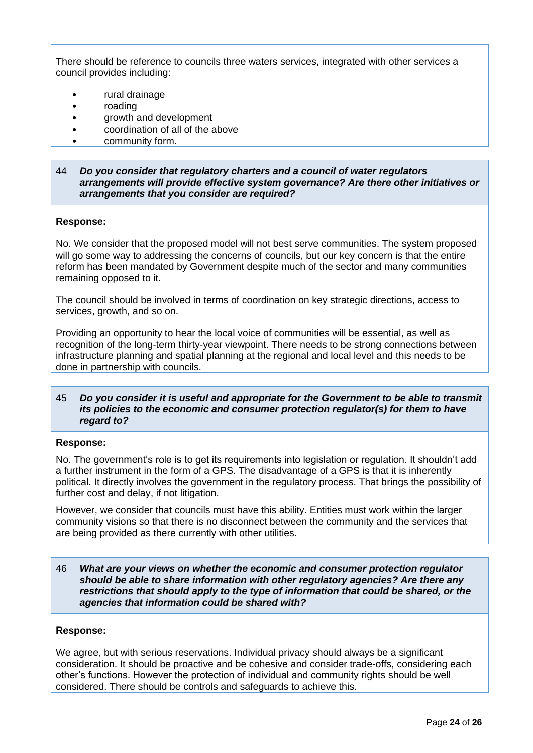There should be reference to councils three waters services, integrated with other services a council provides including:

- rural drainage
- roading
- growth and development
- coordination of all of the above
- community form.

#### 44 *Do you consider that regulatory charters and a council of water regulators arrangements will provide effective system governance? Are there other initiatives or arrangements that you consider are required?*

#### **Response:**

No. We consider that the proposed model will not best serve communities. The system proposed will go some way to addressing the concerns of councils, but our key concern is that the entire reform has been mandated by Government despite much of the sector and many communities remaining opposed to it.

The council should be involved in terms of coordination on key strategic directions, access to services, growth, and so on.

Providing an opportunity to hear the local voice of communities will be essential, as well as recognition of the long-term thirty-year viewpoint. There needs to be strong connections between infrastructure planning and spatial planning at the regional and local level and this needs to be done in partnership with councils.

#### 45 *Do you consider it is useful and appropriate for the Government to be able to transmit its policies to the economic and consumer protection regulator(s) for them to have regard to?*

#### **Response:**

No. The government's role is to get its requirements into legislation or regulation. It shouldn't add a further instrument in the form of a GPS. The disadvantage of a GPS is that it is inherently political. It directly involves the government in the regulatory process. That brings the possibility of further cost and delay, if not litigation.

However, we consider that councils must have this ability. Entities must work within the larger community visions so that there is no disconnect between the community and the services that are being provided as there currently with other utilities.

46 *What are your views on whether the economic and consumer protection regulator should be able to share information with other regulatory agencies? Are there any restrictions that should apply to the type of information that could be shared, or the agencies that information could be shared with?*

#### **Response:**

We agree, but with serious reservations. Individual privacy should always be a significant consideration. It should be proactive and be cohesive and consider trade-offs, considering each other's functions. However the protection of individual and community rights should be well considered. There should be controls and safeguards to achieve this.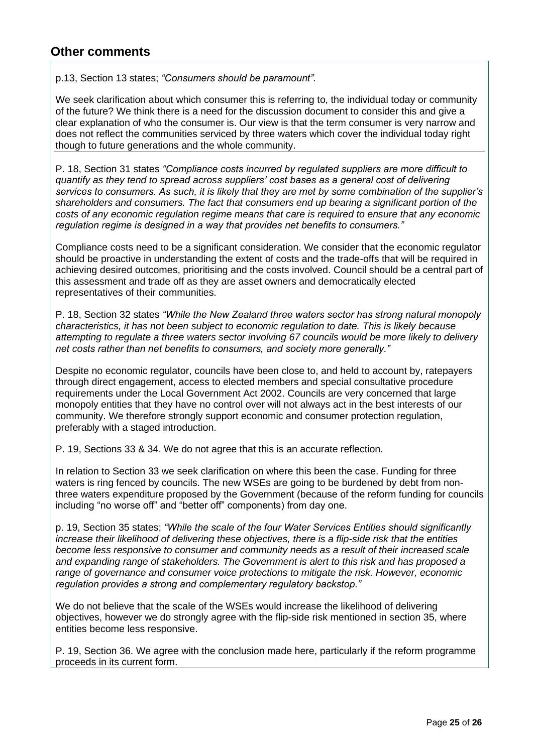## **Other comments**

p.13, Section 13 states; *"Consumers should be paramount".*

We seek clarification about which consumer this is referring to, the individual today or community of the future? We think there is a need for the discussion document to consider this and give a clear explanation of who the consumer is. Our view is that the term consumer is very narrow and does not reflect the communities serviced by three waters which cover the individual today right though to future generations and the whole community.

P. 18, Section 31 states *"Compliance costs incurred by regulated suppliers are more difficult to quantify as they tend to spread across suppliers' cost bases as a general cost of delivering services to consumers. As such, it is likely that they are met by some combination of the supplier's shareholders and consumers. The fact that consumers end up bearing a significant portion of the costs of any economic regulation regime means that care is required to ensure that any economic regulation regime is designed in a way that provides net benefits to consumers."*

Compliance costs need to be a significant consideration. We consider that the economic regulator should be proactive in understanding the extent of costs and the trade-offs that will be required in achieving desired outcomes, prioritising and the costs involved. Council should be a central part of this assessment and trade off as they are asset owners and democratically elected representatives of their communities.

P. 18, Section 32 states *"While the New Zealand three waters sector has strong natural monopoly characteristics, it has not been subject to economic regulation to date. This is likely because attempting to regulate a three waters sector involving 67 councils would be more likely to delivery net costs rather than net benefits to consumers, and society more generally."*

Despite no economic regulator, councils have been close to, and held to account by, ratepayers through direct engagement, access to elected members and special consultative procedure requirements under the Local Government Act 2002. Councils are very concerned that large monopoly entities that they have no control over will not always act in the best interests of our community. We therefore strongly support economic and consumer protection regulation, preferably with a staged introduction.

P. 19, Sections 33 & 34. We do not agree that this is an accurate reflection.

In relation to Section 33 we seek clarification on where this been the case. Funding for three waters is ring fenced by councils. The new WSEs are going to be burdened by debt from nonthree waters expenditure proposed by the Government (because of the reform funding for councils including "no worse off" and "better off" components) from day one.

p. 19, Section 35 states; *"While the scale of the four Water Services Entities should significantly increase their likelihood of delivering these objectives, there is a flip-side risk that the entities become less responsive to consumer and community needs as a result of their increased scale and expanding range of stakeholders. The Government is alert to this risk and has proposed a range of governance and consumer voice protections to mitigate the risk. However, economic regulation provides a strong and complementary regulatory backstop."* 

We do not believe that the scale of the WSEs would increase the likelihood of delivering objectives, however we do strongly agree with the flip-side risk mentioned in section 35, where entities become less responsive.

P. 19, Section 36. We agree with the conclusion made here, particularly if the reform programme proceeds in its current form.